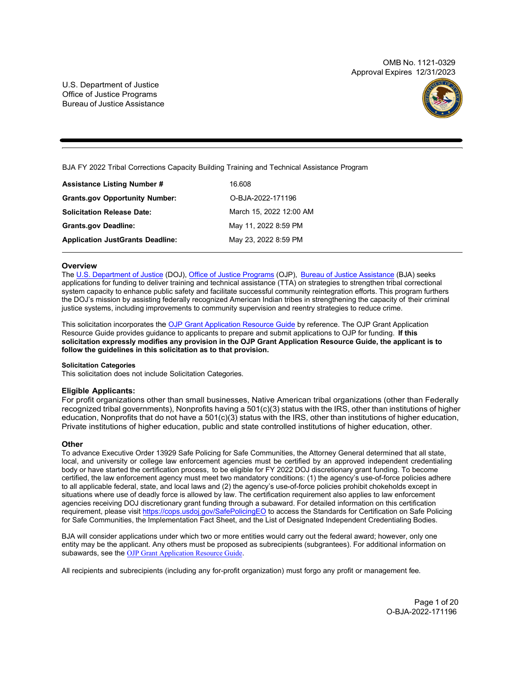OMB No. 1121-0329 Approval Expires 12/31/2023

U.S. Department of Justice Office of Justice Programs Bureau of Justice Assistance



BJA FY 2022 Tribal Corrections Capacity Building Training and Technical Assistance Program

| <b>Assistance Listing Number #</b>      | 16.608                  |
|-----------------------------------------|-------------------------|
| <b>Grants.gov Opportunity Number:</b>   | O-BJA-2022-171196       |
| <b>Solicitation Release Date:</b>       | March 15, 2022 12:00 AM |
| <b>Grants.gov Deadline:</b>             | May 11, 2022 8:59 PM    |
| <b>Application JustGrants Deadline:</b> | May 23, 2022 8:59 PM    |

# **Overview**

The [U.S. Department of Justice](https://www.usdoj.gov/) (DOJ), [Office of Justice Programs](https://www.ojp.usdoj.gov/) (OJP), [Bureau of Justice Assistance](https://bja.ojp.gov/) (BJA) seeks applications for funding to deliver training and technical assistance (TTA) on strategies to strengthen tribal correctional system capacity to enhance public safety and facilitate successful community reintegration efforts. This program furthers the DOJ's mission by assisting federally recognized American Indian tribes in strengthening the capacity of their criminal justice systems, including improvements to community supervision and reentry strategies to reduce crime.

This solicitation incorporates the [OJP Grant Application Resource Guide](https://www.ojp.gov/funding/Apply/Resources/Grant-App-Resource-Guide.htm) by reference. The OJP Grant Application Resource Guide provides guidance to applicants to prepare and submit applications to OJP for funding. **If this solicitation expressly modifies any provision in the OJP Grant Application Resource Guide, the applicant is to follow the guidelines in this solicitation as to that provision.**

# **Solicitation Categories**

This solicitation does not include Solicitation Categories.

# **Eligible Applicants:**

For profit organizations other than small businesses, Native American tribal organizations (other than Federally recognized tribal governments), Nonprofits having a 501(c)(3) status with the IRS, other than institutions of higher education, Nonprofits that do not have a 501(c)(3) status with the IRS, other than institutions of higher education, Private institutions of higher education, public and state controlled institutions of higher education, other.

# **Other**

To advance Executive Order 13929 Safe Policing for Safe Communities, the Attorney General determined that all state, local, and university or college law enforcement agencies must be certified by an approved independent credentialing body or have started the certification process, to be eligible for FY 2022 DOJ discretionary grant funding. To become certified, the law enforcement agency must meet two mandatory conditions: (1) the agency's use-of-force policies adhere to all applicable federal, state, and local laws and (2) the agency's use-of-force policies prohibit chokeholds except in situations where use of deadly force is allowed by law. The certification requirement also applies to law enforcement agencies receiving DOJ discretionary grant funding through a subaward. For detailed information on this certification requirement, please visit <https://cops.usdoj.gov/SafePolicingEO> to access the Standards for Certification on Safe Policing for Safe Communities, the Implementation Fact Sheet, and the List of Designated Independent Credentialing Bodies.

BJA will consider applications under which two or more entities would carry out the federal award; however, only one entity may be the applicant. Any others must be proposed as subrecipients (subgrantees). For additional information on subawards, see the [OJP Grant Application Resource Guide](https://www.ojp.gov/funding/apply/ojp-grant-application-resource-guide#information-proposed-subwards).

All recipients and subrecipients (including any for-profit organization) must forgo any profit or management fee.

Page 1 of 20 O-BJA-2022-171196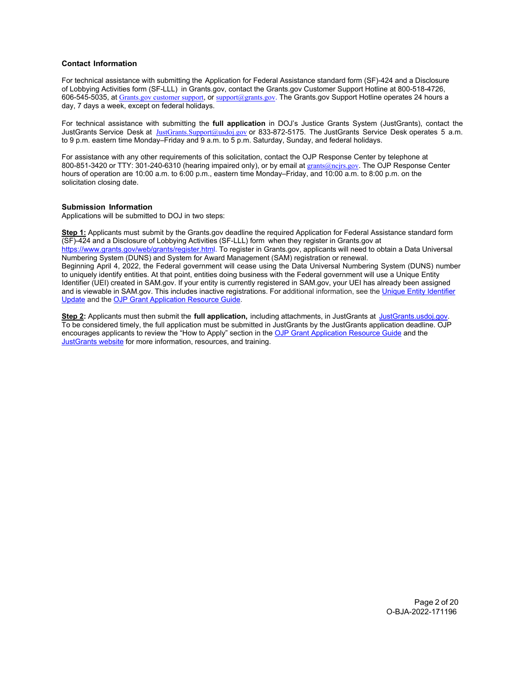# <span id="page-1-0"></span>**Contact Information**

For technical assistance with submitting the Application for Federal Assistance standard form (SF)-424 and a Disclosure of Lobbying Activities form (SF-LLL) in Grants.gov, contact the Grants.gov Customer Support Hotline at 800-518-4726, 606-545-5035, at [Grants.gov customer support](https://www.grants.gov/web/grants/support.html), or [support@grants.gov](mailto:support@grants.gov). The Grants.gov Support Hotline operates 24 hours a day, 7 days a week, except on federal holidays.

For technical assistance with submitting the **full application** in DOJ's Justice Grants System (JustGrants), contact the JustGrants Service Desk at <u>JustGrants.Support@usdoj.gov</u> or 833-872-5175. The JustGrants Service Desk operates 5 a.m. to 9 p.m. eastern time Monday–Friday and 9 a.m. to 5 p.m. Saturday, Sunday, and federal holidays.

For assistance with any other requirements of this solicitation, contact the OJP Response Center by telephone at 800-851-3420 or TTY: 301-240-6310 (hearing impaired only), or by email at [grants@ncjrs.gov](mailto:grants@ncjrs.gov). The OJP Response Center hours of operation are 10:00 a.m. to 6:00 p.m., eastern time Monday–Friday, and 10:00 a.m. to 8:00 p.m. on the solicitation closing date.

# **Submission Information**

Applications will be submitted to DOJ in two steps:

**Step 1:** Applicants must submit by the Grants.gov deadline the required Application for Federal Assistance standard form (SF)-424 and a Disclosure of Lobbying Activities (SF-LLL) form when they register in Grants.gov at [https://www.grants.gov/web/grants/register.html.](https://www.grants.gov/web/grants/register.html) To register in Grants.gov, applicants will need to obtain a Data Universal Numbering System (DUNS) and System for Award Management (SAM) registration or renewal. Beginning April 4, 2022, the Federal government will cease using the Data Universal Numbering System (DUNS) number to uniquely identify entities. At that point, entities doing business with the Federal government will use a Unique Entity Identifier (UEI) created in SAM.gov. If your entity is currently registered in SAM.gov, your UEI has already been assigned and is viewable in SAM.gov. This includes inactive registrations. For additional information, see th[e Unique Entity Identifier](https://www.gsa.gov/about-us/organization/federal-acquisition-service/office-of-systems-management/integrated-award-environment-iae/iae-systems-information-kit/unique-entity-identifier-update) [Update a](https://www.gsa.gov/about-us/organization/federal-acquisition-service/office-of-systems-management/integrated-award-environment-iae/iae-systems-information-kit/unique-entity-identifier-update)nd th[e OJP Grant Application Resource Guide.](https://www.ojp.gov/funding/apply/ojp-grant-application-resource-guide#unique-entity)

**Step 2:** Applicants must then submit the **full application,** including attachments, in JustGrants at [JustGrants.usdoj.gov.](https://justicegrants.usdoj.gov/) To be considered timely, the full application must be submitted in JustGrants by the JustGrants application deadline. OJP encourages applicants to review the "How to Apply" section in th[e OJP Grant Application Resource Guide](https://www.ojp.gov/funding/apply/ojp-grant-application-resource-guide#apply) and the [JustGrants website fo](https://justicegrants.usdoj.gov/news)r more information, resources, and training.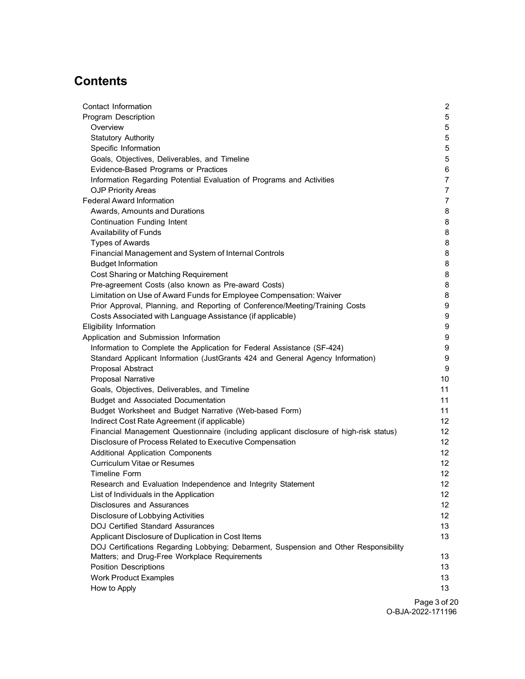# **Contents**

| Contact Information                                                                     | $\mathbf{2}$    |
|-----------------------------------------------------------------------------------------|-----------------|
| <b>Program Description</b>                                                              | 5               |
| Overview                                                                                | 5               |
| <b>Statutory Authority</b>                                                              | $5\phantom{.0}$ |
| Specific Information                                                                    | $5\phantom{.0}$ |
| Goals, Objectives, Deliverables, and Timeline                                           | 5               |
| Evidence-Based Programs or Practices                                                    | 6               |
| Information Regarding Potential Evaluation of Programs and Activities                   | $\overline{7}$  |
| <b>OJP Priority Areas</b>                                                               | $\overline{7}$  |
| <b>Federal Award Information</b>                                                        | 7               |
| Awards, Amounts and Durations                                                           | 8               |
| Continuation Funding Intent                                                             | 8               |
| Availability of Funds                                                                   | 8               |
| <b>Types of Awards</b>                                                                  | 8               |
| Financial Management and System of Internal Controls                                    | 8               |
| <b>Budget Information</b>                                                               | 8               |
| Cost Sharing or Matching Requirement                                                    | 8               |
| Pre-agreement Costs (also known as Pre-award Costs)                                     | 8               |
| Limitation on Use of Award Funds for Employee Compensation: Waiver                      | 8               |
| Prior Approval, Planning, and Reporting of Conference/Meeting/Training Costs            | 9               |
| Costs Associated with Language Assistance (if applicable)                               | 9               |
| Eligibility Information                                                                 | 9               |
| Application and Submission Information                                                  | 9               |
| Information to Complete the Application for Federal Assistance (SF-424)                 | 9               |
| Standard Applicant Information (JustGrants 424 and General Agency Information)          | 9               |
| Proposal Abstract                                                                       | 9               |
| Proposal Narrative                                                                      | 10              |
| Goals, Objectives, Deliverables, and Timeline                                           | 11              |
| Budget and Associated Documentation                                                     | 11              |
| Budget Worksheet and Budget Narrative (Web-based Form)                                  | 11              |
| Indirect Cost Rate Agreement (if applicable)                                            | 12              |
| Financial Management Questionnaire (including applicant disclosure of high-risk status) | 12              |
| Disclosure of Process Related to Executive Compensation                                 | 12 <sup>°</sup> |
| <b>Additional Application Components</b>                                                | 12 <sup>2</sup> |
| <b>Curriculum Vitae or Resumes</b>                                                      | 12 <sup>2</sup> |
| Timeline Form                                                                           | 12              |
| Research and Evaluation Independence and Integrity Statement                            | 12              |
| List of Individuals in the Application                                                  | 12              |
| <b>Disclosures and Assurances</b>                                                       | 12              |
| Disclosure of Lobbying Activities                                                       | 12              |
| <b>DOJ Certified Standard Assurances</b>                                                | 13              |
| Applicant Disclosure of Duplication in Cost Items                                       | 13              |
| DOJ Certifications Regarding Lobbying; Debarment, Suspension and Other Responsibility   |                 |
| Matters; and Drug-Free Workplace Requirements                                           | 13              |
| <b>Position Descriptions</b>                                                            | 13              |
| <b>Work Product Examples</b>                                                            | 13              |
| How to Apply                                                                            | 13              |
|                                                                                         | Page 3 of 2     |

Page 3 of 20 O-BJA-2022-171196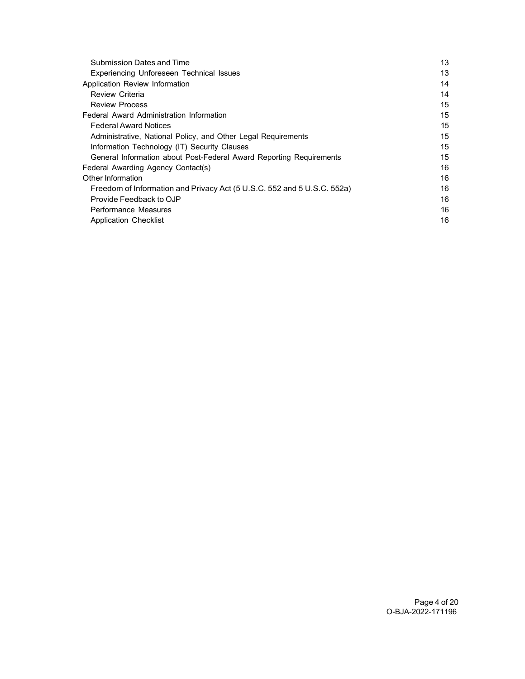| Submission Dates and Time                                               | 13 |
|-------------------------------------------------------------------------|----|
| Experiencing Unforeseen Technical Issues                                | 13 |
| Application Review Information                                          | 14 |
| Review Criteria                                                         | 14 |
| <b>Review Process</b>                                                   | 15 |
| Federal Award Administration Information                                | 15 |
| <b>Federal Award Notices</b>                                            | 15 |
| Administrative, National Policy, and Other Legal Requirements           | 15 |
| Information Technology (IT) Security Clauses                            | 15 |
| General Information about Post-Federal Award Reporting Requirements     | 15 |
| Federal Awarding Agency Contact(s)                                      | 16 |
| Other Information                                                       | 16 |
| Freedom of Information and Privacy Act (5 U.S.C. 552 and 5 U.S.C. 552a) | 16 |
| Provide Feedback to OJP                                                 | 16 |
| Performance Measures                                                    | 16 |
| <b>Application Checklist</b>                                            | 16 |
|                                                                         |    |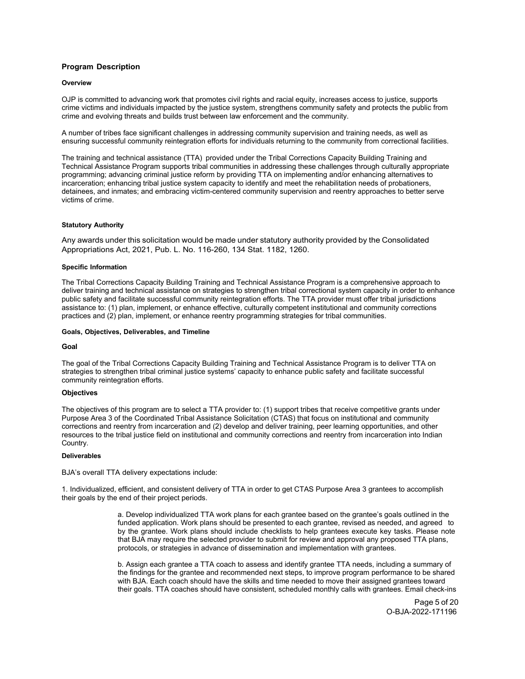# <span id="page-4-1"></span><span id="page-4-0"></span>**Program Description**

## **Overview**

OJP is committed to advancing work that promotes civil rights and racial equity, increases access to justice, supports crime victims and individuals impacted by the justice system, strengthens community safety and protects the public from crime and evolving threats and builds trust between law enforcement and the community.

A number of tribes face significant challenges in addressing community supervision and training needs, as well as ensuring successful community reintegration efforts for individuals returning to the community from correctional facilities.

The training and technical assistance (TTA) provided under the Tribal Corrections Capacity Building Training and Technical Assistance Program supports tribal communities in addressing these challenges through culturally appropriate programming; advancing criminal justice reform by providing TTA on implementing and/or enhancing alternatives to incarceration; enhancing tribal justice system capacity to identify and meet the rehabilitation needs of probationers, detainees, and inmates; and embracing victim-centered community supervision and reentry approaches to better serve victims of crime.

## <span id="page-4-2"></span>**Statutory Authority**

Any awards under this solicitation would be made under statutory authority provided by the Consolidated Appropriations Act, 2021, Pub. L. No. 116-260, 134 Stat. 1182, 1260.

#### <span id="page-4-3"></span>**Specific Information**

The Tribal Corrections Capacity Building Training and Technical Assistance Program is a comprehensive approach to deliver training and technical assistance on strategies to strengthen tribal correctional system capacity in order to enhance public safety and facilitate successful community reintegration efforts. The TTA provider must offer tribal jurisdictions assistance to: (1) plan, implement, or enhance effective, culturally competent institutional and community corrections practices and (2) plan, implement, or enhance reentry programming strategies for tribal communities.

#### <span id="page-4-4"></span>**Goals, Objectives, Deliverables, and Timeline**

#### **Goal**

The goal of the Tribal Corrections Capacity Building Training and Technical Assistance Program is to deliver TTA on strategies to strengthen tribal criminal justice systems' capacity to enhance public safety and facilitate successful community reintegration efforts.

## **Objectives**

The objectives of this program are to select a TTA provider to: (1) support tribes that receive competitive grants under Purpose Area 3 of the Coordinated Tribal Assistance Solicitation (CTAS) that focus on institutional and community corrections and reentry from incarceration and (2) develop and deliver training, peer learning opportunities, and other resources to the tribal justice field on institutional and community corrections and reentry from incarceration into Indian Country.

#### **Deliverables**

BJA's overall TTA delivery expectations include:

1. Individualized, efficient, and consistent delivery of TTA in order to get CTAS Purpose Area 3 grantees to accomplish their goals by the end of their project periods.

> a. Develop individualized TTA work plans for each grantee based on the grantee's goals outlined in the funded application. Work plans should be presented to each grantee, revised as needed, and agreed to by the grantee. Work plans should include checklists to help grantees execute key tasks. Please note that BJA may require the selected provider to submit for review and approval any proposed TTA plans, protocols, or strategies in advance of dissemination and implementation with grantees.

> b. Assign each grantee a TTA coach to assess and identify grantee TTA needs, including a summary of the findings for the grantee and recommended next steps, to improve program performance to be shared with BJA. Each coach should have the skills and time needed to move their assigned grantees toward their goals. TTA coaches should have consistent, scheduled monthly calls with grantees. Email check-ins

> > Page 5 of 20 O-BJA-2022-171196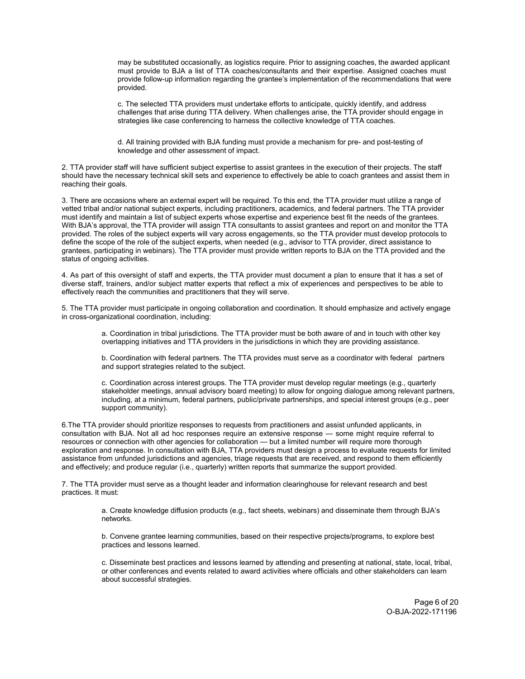may be substituted occasionally, as logistics require. Prior to assigning coaches, the awarded applicant must provide to BJA a list of TTA coaches/consultants and their expertise. Assigned coaches must provide follow-up information regarding the grantee's implementation of the recommendations that were provided.

c. The selected TTA providers must undertake efforts to anticipate, quickly identify, and address challenges that arise during TTA delivery. When challenges arise, the TTA provider should engage in strategies like case conferencing to harness the collective knowledge of TTA coaches.

d. All training provided with BJA funding must provide a mechanism for pre- and post-testing of knowledge and other assessment of impact.

2. TTA provider staff will have sufficient subject expertise to assist grantees in the execution of their projects. The staff should have the necessary technical skill sets and experience to effectively be able to coach grantees and assist them in reaching their goals.

3. There are occasions where an external expert will be required. To this end, the TTA provider must utilize a range of vetted tribal and/or national subject experts, including practitioners, academics, and federal partners. The TTA provider must identify and maintain a list of subject experts whose expertise and experience best fit the needs of the grantees. With BJA's approval, the TTA provider will assign TTA consultants to assist grantees and report on and monitor the TTA provided. The roles of the subject experts will vary across engagements, so the TTA provider must develop protocols to define the scope of the role of the subject experts, when needed (e.g., advisor to TTA provider, direct assistance to grantees, participating in webinars). The TTA provider must provide written reports to BJA on the TTA provided and the status of ongoing activities.

4. As part of this oversight of staff and experts, the TTA provider must document a plan to ensure that it has a set of diverse staff, trainers, and/or subject matter experts that reflect a mix of experiences and perspectives to be able to effectively reach the communities and practitioners that they will serve.

5. The TTA provider must participate in ongoing collaboration and coordination. It should emphasize and actively engage in cross-organizational coordination, including:

> a. Coordination in tribal jurisdictions. The TTA provider must be both aware of and in touch with other key overlapping initiatives and TTA providers in the jurisdictions in which they are providing assistance.

b. Coordination with federal partners. The TTA provides must serve as a coordinator with federal partners and support strategies related to the subject.

c. Coordination across interest groups. The TTA provider must develop regular meetings (e.g., quarterly stakeholder meetings, annual advisory board meeting) to allow for ongoing dialogue among relevant partners, including, at a minimum, federal partners, public/private partnerships, and special interest groups (e.g., peer support community).

6.The TTA provider should prioritize responses to requests from practitioners and assist unfunded applicants, in consultation with BJA. Not all ad hoc responses require an extensive response — some might require referral to resources or connection with other agencies for collaboration — but a limited number will require more thorough exploration and response. In consultation with BJA, TTA providers must design a process to evaluate requests for limited assistance from unfunded jurisdictions and agencies, triage requests that are received, and respond to them efficiently and effectively; and produce regular (i.e., quarterly) written reports that summarize the support provided.

7. The TTA provider must serve as a thought leader and information clearinghouse for relevant research and best practices. It must:

> a. Create knowledge diffusion products (e.g., fact sheets, webinars) and disseminate them through BJA's networks.

b. Convene grantee learning communities, based on their respective projects/programs, to explore best practices and lessons learned.

c. Disseminate best practices and lessons learned by attending and presenting at national, state, local, tribal, or other conferences and events related to award activities where officials and other stakeholders can learn about successful strategies.

> Page 6 of 20 O-BJA-2022-171196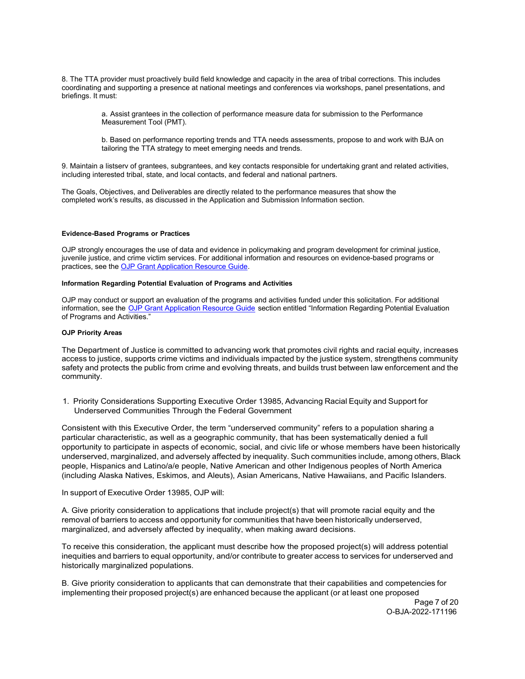8. The TTA provider must proactively build field knowledge and capacity in the area of tribal corrections. This includes coordinating and supporting a presence at national meetings and conferences via workshops, panel presentations, and briefings. It must:

> a. Assist grantees in the collection of performance measure data for submission to the Performance Measurement Tool (PMT).

b. Based on performance reporting trends and TTA needs assessments, propose to and work with BJA on tailoring the TTA strategy to meet emerging needs and trends.

9. Maintain a listserv of grantees, subgrantees, and key contacts responsible for undertaking grant and related activities, including interested tribal, state, and local contacts, and federal and national partners.

The Goals, Objectives, and Deliverables are directly related to the performance measures that show the completed work's results, as discussed in the Application and Submission Information section.

## <span id="page-6-0"></span>**Evidence-Based Programs or Practices**

OJP strongly encourages the use of data and evidence in policymaking and program development for criminal justice, juvenile justice, and crime victim services. For additional information and resources on evidence-based programs or practices, see the [OJP Grant Application Resource Guide.](https://www.ojp.gov/funding/apply/ojp-grant-application-resource-guide#evidence-based)

# <span id="page-6-1"></span>**Information Regarding Potential Evaluation of Programs and Activities**

OJP may conduct or support an evaluation of the programs and activities funded under this solicitation. For additional information, see the [OJP Grant Application Resource Guide](https://www.ojp.gov/funding/apply/ojp-grant-application-resource-guide#potential-evaluation) section entitled "Information Regarding Potential Evaluation of Programs and Activities."

#### <span id="page-6-2"></span>**OJP Priority Areas**

The Department of Justice is committed to advancing work that promotes civil rights and racial equity, increases access to justice, supports crime victims and individuals impacted by the justice system, strengthens community safety and protects the public from crime and evolving threats, and builds trust between law enforcement and the community.

1. Priority Considerations Supporting Executive Order 13985, Advancing Racial Equity and Support for Underserved Communities Through the Federal Government

Consistent with this Executive Order, the term "underserved community" refers to a population sharing a particular characteristic, as well as a geographic community, that has been systematically denied a full opportunity to participate in aspects of economic, social, and civic life or whose members have been historically underserved, marginalized, and adversely affected by inequality. Such communities include, among others, Black people, Hispanics and Latino/a/e people, Native American and other Indigenous peoples of North America (including Alaska Natives, Eskimos, and Aleuts), Asian Americans, Native Hawaiians, and Pacific Islanders.

# In support of Executive Order 13985, OJP will:

A. Give priority consideration to applications that include project(s) that will promote racial equity and the removal of barriers to access and opportunity for communities that have been historically underserved, marginalized, and adversely affected by inequality, when making award decisions.

To receive this consideration, the applicant must describe how the proposed project(s) will address potential inequities and barriers to equal opportunity, and/or contribute to greater access to services for underserved and historically marginalized populations.

B. Give priority consideration to applicants that can demonstrate that their capabilities and competencies for implementing their proposed project(s) are enhanced because the applicant (or at least one proposed

Page 7 of 20 O-BJA-2022-171196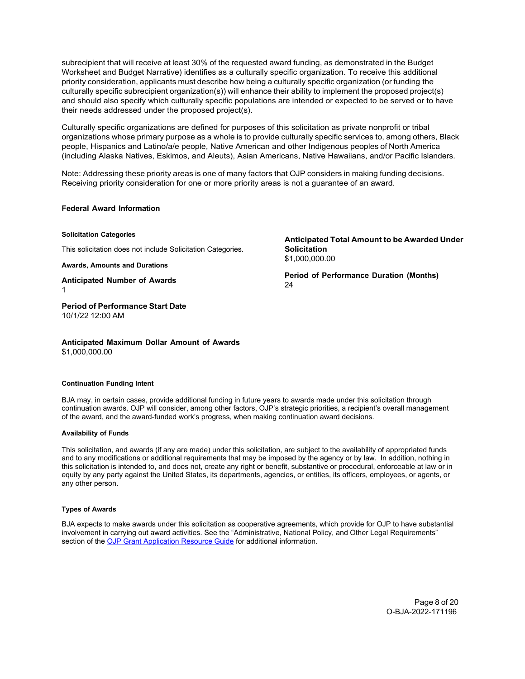subrecipient that will receive at least 30% of the requested award funding, as demonstrated in the Budget Worksheet and Budget Narrative) identifies as a culturally specific organization. To receive this additional priority consideration, applicants must describe how being a culturally specific organization (or funding the culturally specific subrecipient organization(s)) will enhance their ability to implement the proposed project(s) and should also specify which culturally specific populations are intended or expected to be served or to have their needs addressed under the proposed project(s).

Culturally specific organizations are defined for purposes of this solicitation as private nonprofit or tribal organizations whose primary purpose as a whole is to provide culturally specific services to, among others, Black people, Hispanics and Latino/a/e people, Native American and other Indigenous peoples of North America (including Alaska Natives, Eskimos, and Aleuts), Asian Americans, Native Hawaiians, and/or Pacific Islanders.

Note: Addressing these priority areas is one of many factors that OJP considers in making funding decisions. Receiving priority consideration for one or more priority areas is not a guarantee of an award.

# **Federal Award Information**

**Solicitation Categories**

This solicitation does not include Solicitation Categories.

**Awards, Amounts and Durations**

**Anticipated Number of Awards** 1

**Period of Performance Start Date** 10/1/22 12:00 AM

**Anticipated Maximum Dollar Amount of Awards** \$1,000,000.00

#### **Continuation Funding Intent**

BJA may, in certain cases, provide additional funding in future years to awards made under this solicitation through continuation awards. OJP will consider, among other factors, OJP's strategic priorities, a recipient's overall management of the award, and the award-funded work's progress, when making continuation award decisions.

## <span id="page-7-0"></span>**Availability of Funds**

This solicitation, and awards (if any are made) under this solicitation, are subject to the availability of appropriated funds and to any modifications or additional requirements that may be imposed by the agency or by law. In addition, nothing in this solicitation is intended to, and does not, create any right or benefit, substantive or procedural, enforceable at law or in equity by any party against the United States, its departments, agencies, or entities, its officers, employees, or agents, or any other person.

# <span id="page-7-1"></span>**Types of Awards**

BJA expects to make awards under this solicitation as cooperative agreements, which provide for OJP to have substantial involvement in carrying out award activities. See the "Administrative, National Policy, and Other Legal Requirements" section of the [OJP Grant Application Resource Guide](https://www.ojp.gov/funding/apply/ojp-grant-application-resource-guide#administrative) for additional information.

**Anticipated Total Amount to be Awarded Under Solicitation** \$1,000,000.00

**Period of Performance Duration (Months)** 24

> Page 8 of 20 O-BJA-2022-171196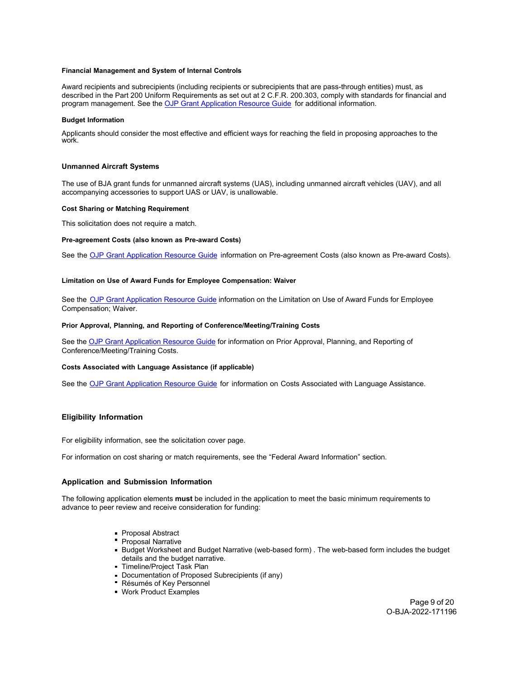## <span id="page-8-1"></span><span id="page-8-0"></span>**Financial Management and System of Internal Controls**

Award recipients and subrecipients (including recipients or subrecipients that are pass-through entities) must, as described in the Part 200 Uniform Requirements as set out at 2 C.F.R. 200.303, comply with standards for financial and program management. See the [OJP Grant Application Resource Guide](https://www.ojp.gov/funding/apply/ojp-grant-application-resource-guide#fm-internal-controls) for additional information.

## <span id="page-8-2"></span>**Budget Information**

Applicants should consider the most effective and efficient ways for reaching the field in proposing approaches to the work.

## **Unmanned Aircraft Systems**

The use of BJA grant funds for unmanned aircraft systems (UAS), including unmanned aircraft vehicles (UAV), and all accompanying accessories to support UAS or UAV, is unallowable.

## <span id="page-8-3"></span>**Cost Sharing or Matching Requirement**

This solicitation does not require a match.

## <span id="page-8-4"></span>**Pre-agreement Costs (also known as Pre-award Costs)**

See the [OJP Grant Application Resource Guide](https://www.ojp.gov/funding/apply/ojp-grant-application-resource-guide#pre-agreement-costs) information on Pre-agreement Costs (also known as Pre-award Costs).

## <span id="page-8-5"></span>**Limitation on Use of Award Funds for Employee Compensation: Waiver**

See the [OJP Grant Application Resource Guide](https://www.ojp.gov/funding/apply/ojp-grant-application-resource-guide#limitation-use-award) information on the Limitation on Use of Award Funds for Employee Compensation; Waiver.

#### <span id="page-8-6"></span>**Prior Approval, Planning, and Reporting of Conference/Meeting/Training Costs**

See th[e OJP Grant Application Resource Guide](https://www.ojp.gov/funding/apply/ojp-grant-application-resource-guide#prior-approval) for information on Prior Approval, Planning, and Reporting of Conference/Meeting/Training Costs.

# <span id="page-8-7"></span>**Costs Associated with Language Assistance (if applicable)**

See the **[OJP Grant Application Resource Guide](https://www.ojp.gov/funding/apply/ojp-grant-application-resource-guide#costs-associated)** for information on Costs Associated with Language Assistance.

# <span id="page-8-8"></span>**Eligibility Information**

For eligibility information, see the solicitation cover page.

For information on cost sharing or match requirements, see the "Federal Award Information" section.

# <span id="page-8-9"></span>**Application and Submission Information**

The following application elements **must** be included in the application to meet the basic minimum requirements to advance to peer review and receive consideration for funding:

- **Proposal Abstract**
- **Proposal Narrative**
- Budget Worksheet and Budget Narrative (web-based form) . The web-based form includes the budget details and the budget narrative.
- Timeline/Project Task Plan
- Documentation of Proposed Subrecipients (if any)
- Résumés of Key Personnel
- Work Product Examples

Page 9 of 20 O-BJA-2022-171196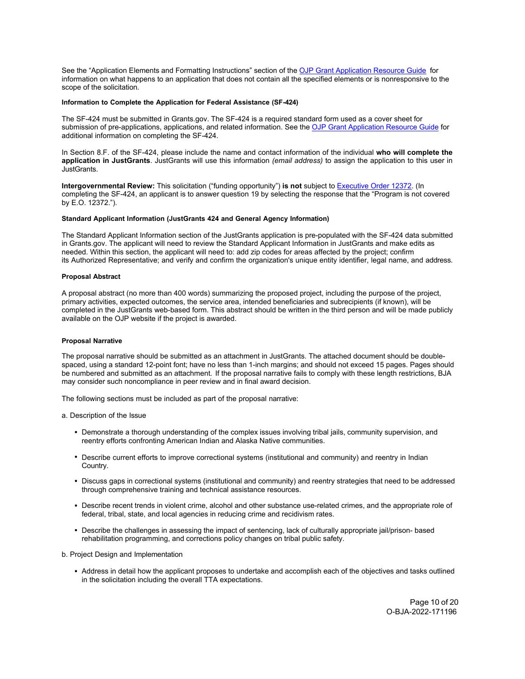See the "Application Elements and Formatting Instructions" section of the [OJP Grant Application Resource Guide](https://www.ojp.gov/funding/apply/ojp-grant-application-resource-guide#application-elements) for information on what happens to an application that does not contain all the specified elements or is nonresponsive to the scope of the solicitation*.* 

#### <span id="page-9-0"></span>**Information to Complete the Application for Federal Assistance (SF-424)**

The SF-424 must be submitted in Grants.gov. The SF-424 is a required standard form used as a cover sheet for submission of pre-applications, applications, and related information. See the [OJP Grant Application Resource Guide](https://www.ojp.gov/funding/apply/ojp-grant-application-resource-guide#complete-application) for additional information on completing the SF-424.

In Section 8.F. of the SF-424, please include the name and contact information of the individual **who will complete the application in JustGrants**. JustGrants will use this information *(email address)* to assign the application to this user in JustGrants.

**Intergovernmental Review:** This solicitation ("funding opportunity") **is not** subject to [Executive Order 12372.](https://www.archives.gov/federal-register/codification/executive-order/12372.html) (In completing the SF-424, an applicant is to answer question 19 by selecting the response that the "Program is not covered by E.O. 12372.").

## <span id="page-9-1"></span>**Standard Applicant Information (JustGrants 424 and General Agency Information)**

The Standard Applicant Information section of the JustGrants application is pre-populated with the SF-424 data submitted in Grants.gov. The applicant will need to review the Standard Applicant Information in JustGrants and make edits as needed. Within this section, the applicant will need to: add zip codes for areas affected by the project; confirm its Authorized Representative; and verify and confirm the organization's unique entity identifier, legal name, and address.

## <span id="page-9-2"></span>**Proposal Abstract**

A proposal abstract (no more than 400 words) summarizing the proposed project, including the purpose of the project, primary activities, expected outcomes, the service area, intended beneficiaries and subrecipients (if known), will be completed in the JustGrants web-based form. This abstract should be written in the third person and will be made publicly available on the OJP website if the project is awarded.

## <span id="page-9-3"></span>**Proposal Narrative**

The proposal narrative should be submitted as an attachment in JustGrants. The attached document should be doublespaced, using a standard 12-point font; have no less than 1-inch margins; and should not exceed 15 pages. Pages should be numbered and submitted as an attachment*.* If the proposal narrative fails to comply with these length restrictions, BJA may consider such noncompliance in peer review and in final award decision.

The following sections must be included as part of the proposal narrative:

a. Description of the Issue

- Demonstrate a thorough understanding of the complex issues involving tribal jails, community supervision, and reentry efforts confronting American Indian and Alaska Native communities.
- Describe current efforts to improve correctional systems (institutional and community) and reentry in Indian Country.
- Discuss gaps in correctional systems (institutional and community) and reentry strategies that need to be addressed through comprehensive training and technical assistance resources.
- Describe recent trends in violent crime, alcohol and other substance use-related crimes, and the appropriate role of federal, tribal, state, and local agencies in reducing crime and recidivism rates.
- Describe the challenges in assessing the impact of sentencing, lack of culturally appropriate jail/prison- based rehabilitation programming, and corrections policy changes on tribal public safety.

b. Project Design and Implementation

Address in detail how the applicant proposes to undertake and accomplish each of the objectives and tasks outlined in the solicitation including the overall TTA expectations.

> Page 10 of 20 O-BJA-2022-171196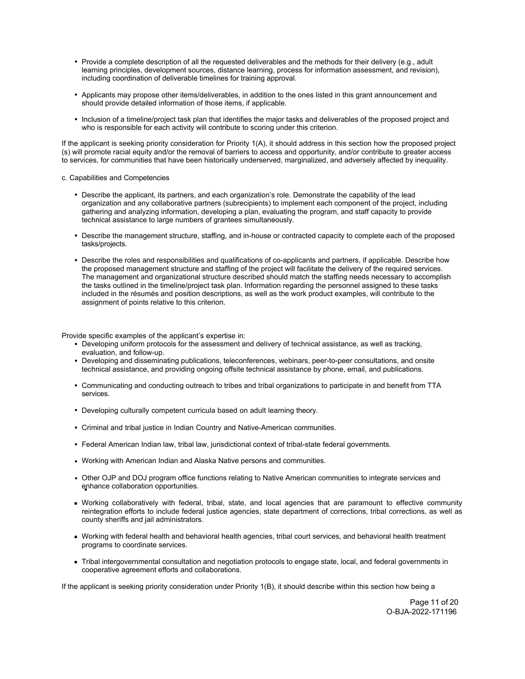- Provide a complete description of all the requested deliverables and the methods for their delivery (e.g., adult learning principles, development sources, distance learning, process for information assessment, and revision), including coordination of deliverable timelines for training approval.
- Applicants may propose other items/deliverables, in addition to the ones listed in this grant announcement and should provide detailed information of those items, if applicable.
- Inclusion of a timeline/project task plan that identifies the major tasks and deliverables of the proposed project and who is responsible for each activity will contribute to scoring under this criterion.

If the applicant is seeking priority consideration for Priority 1(A), it should address in this section how the proposed project (s) will promote racial equity and/or the removal of barriers to access and opportunity, and/or contribute to greater access to services, for communities that have been historically underserved, marginalized, and adversely affected by inequality.

## c. Capabilities and Competencies

- Describe the applicant, its partners, and each organization's role. Demonstrate the capability of the lead organization and any collaborative partners (subrecipients) to implement each component of the project, including gathering and analyzing information, developing a plan, evaluating the program, and staff capacity to provide technical assistance to large numbers of grantees simultaneously.
- Describe the management structure, staffing, and in-house or contracted capacity to complete each of the proposed tasks/projects.
- Describe the roles and responsibilities and qualifications of co-applicants and partners, if applicable. Describe how the proposed management structure and staffing of the project will facilitate the delivery of the required services. The management and organizational structure described should match the staffing needs necessary to accomplish the tasks outlined in the timeline/project task plan. Information regarding the personnel assigned to these tasks included in the résumés and position descriptions, as well as the work product examples, will contribute to the assignment of points relative to this criterion.

Provide specific examples of the applicant's expertise in:

- Developing uniform protocols for the assessment and delivery of technical assistance, as well as tracking, evaluation, and follow-up.
- Developing and disseminating publications, teleconferences, webinars, peer-to-peer consultations, and onsite technical assistance, and providing ongoing offsite technical assistance by phone, email, and publications.
- Communicating and conducting outreach to tribes and tribal organizations to participate in and benefit from TTA services.
- Developing culturally competent curricula based on adult learning theory.
- Criminal and tribal justice in Indian Country and Native-American communities.
- Federal American Indian law, tribal law, jurisdictional context of tribal-state federal governments.
- Working with American Indian and Alaska Native persons and communities.
- Other OJP and DOJ program office functions relating to Native American communities to integrate services and enhance collaboration opportunities.
- Working collaboratively with federal, tribal, state, and local agencies that are paramount to effective community reintegration efforts to include federal justice agencies, state department of corrections, tribal corrections, as well as county sheriffs and jail administrators.
- Working with federal health and behavioral health agencies, tribal court services, and behavioral health treatment programs to coordinate services.
- Tribal intergovernmental consultation and negotiation protocols to engage state, local, and federal governments in cooperative agreement efforts and collaborations.

If the applicant is seeking priority consideration under Priority 1(B), it should describe within this section how being a

Page 11 of 20 O-BJA-2022-171196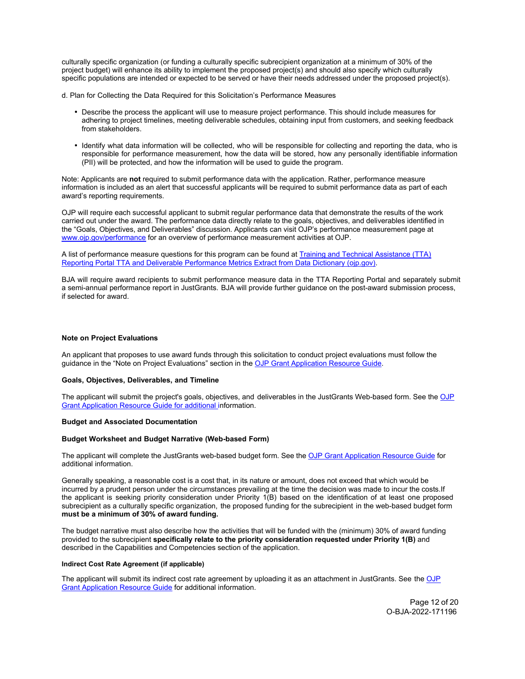culturally specific organization (or funding a culturally specific subrecipient organization at a minimum of 30% of the project budget) will enhance its ability to implement the proposed project(s) and should also specify which culturally specific populations are intended or expected to be served or have their needs addressed under the proposed project(s).

d. Plan for Collecting the Data Required for this Solicitation's Performance Measures

- Describe the process the applicant will use to measure project performance. This should include measures for adhering to project timelines, meeting deliverable schedules, obtaining input from customers, and seeking feedback from stakeholders.
- Identify what data information will be collected, who will be responsible for collecting and reporting the data, who is responsible for performance measurement, how the data will be stored, how any personally identifiable information (PII) will be protected, and how the information will be used to guide the program.

Note: Applicants are **not** required to submit performance data with the application. Rather, performance measure information is included as an alert that successful applicants will be required to submit performance data as part of each award's reporting requirements.

OJP will require each successful applicant to submit regular performance data that demonstrate the results of the work carried out under the award. The performance data directly relate to the goals, objectives, and deliverables identified in the "Goals, Objectives, and Deliverables" discussion. Applicants can visit OJP's performance measurement page at [www.ojp.gov/performance fo](https://www.ojp.gov/performance)r an overview of performance measurement activities at OJP.

A list of performance measure questions for this program can be found at **Training and Technical Assistance (TTA)** [Reporting Portal TTA and Deliverable Performance Metrics Extract from Data Dictionary \(ojp.gov\).](https://bja.ojp.gov/performance-measures/tta-deliverable-performance-metrics.pdf)

BJA will require award recipients to submit performance measure data in the TTA Reporting Portal and separately submit a semi-annual performance report in JustGrants. BJA will provide further guidance on the post-award submission process, if selected for award.

## **Note on Project Evaluations**

An applicant that proposes to use award funds through this solicitation to conduct project evaluations must follow the guidance in the "Note on Project Evaluations" section in the [OJP Grant Application Resource Guide.](https://www.ojp.gov/funding/apply/ojp-grant-application-resource-guide#project-evaluations) 

# <span id="page-11-0"></span>**Goals, Objectives, Deliverables, and Timeline**

The applicant will submit the project's goals, objectives, and deliverables in the JustGrants Web-based form. See th[e OJP](https://www.ojp.gov/funding/apply/ojp-grant-application-resource-guide) [Grant Application](https://www.ojp.gov/funding/apply/ojp-grant-application-resource-guide) Resource Guide for additional information.

#### <span id="page-11-1"></span>**Budget and Associated Documentation**

# <span id="page-11-2"></span>**Budget Worksheet and Budget Narrative (Web-based Form)**

The applicant will complete the JustGrants web-based budget form. See th[e OJP Grant Application Resource Guide](https://www.ojp.gov/funding/apply/ojp-grant-application-resource-guide#budget-prep) for additional information.

Generally speaking, a reasonable cost is a cost that, in its nature or amount, does not exceed that which would be incurred by a prudent person under the circumstances prevailing at the time the decision was made to incur the costs.If the applicant is seeking priority consideration under Priority 1(B) based on the identification of at least one proposed subrecipient as a culturally specific organization, the proposed funding for the subrecipient in the web-based budget form **must be a minimum of 30% of award funding.**

The budget narrative must also describe how the activities that will be funded with the (minimum) 30% of award funding provided to the subrecipient **specifically relate to the priority consideration requested under Priority 1(B)** and described in the Capabilities and Competencies section of the application.

#### <span id="page-11-3"></span>**Indirect Cost Rate Agreement (if applicable)**

The applicant will submit its indirect cost rate agreement by uploading it as an attachment in JustGrants. See th[e OJP](https://www.ojp.gov/funding/apply/ojp-grant-application-resource-guide#indirect-cost) [Grant Application Resource Guide](https://www.ojp.gov/funding/apply/ojp-grant-application-resource-guide#indirect-cost) for additional information.

> Page 12 of 20 O-BJA-2022-171196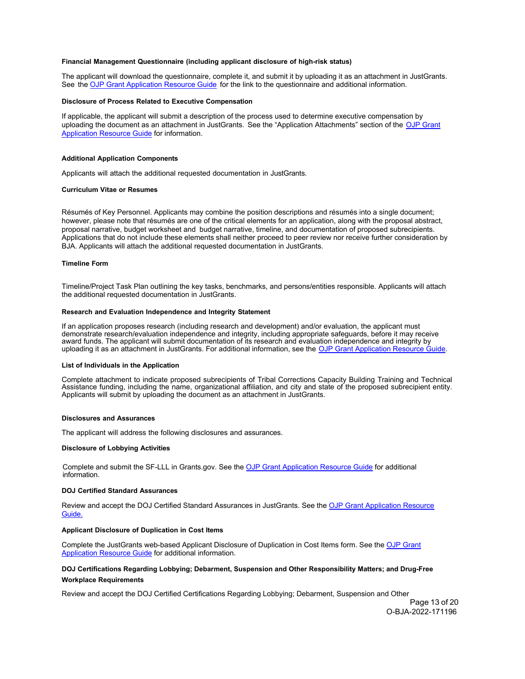#### <span id="page-12-0"></span>**Financial Management Questionnaire (including applicant disclosure of high-risk status)**

The applicant will download the questionnaire, complete it, and submit it by uploading it as an attachment in JustGrants. See the [OJP Grant Application Resource Guide](https://www.ojp.gov/funding/apply/ojp-grant-application-resource-guide#fm-internal-controls-questionnaire) for the link to the questionnaire and additional information.

#### <span id="page-12-1"></span>**Disclosure of Process Related to Executive Compensation**

If applicable, the applicant will submit a description of the process used to determine executive compensation by uploading the document as an attachment in JustGrants. See the "Application Attachments" section of the [OJP Grant](https://www.ojp.gov/funding/apply/ojp-grant-application-resource-guide#disclosure-process-executive) [Application Resource Guide](https://www.ojp.gov/funding/apply/ojp-grant-application-resource-guide#disclosure-process-executive) for information.

#### <span id="page-12-2"></span>**Additional Application Components**

Applicants will attach the additional requested documentation in JustGrants.

#### <span id="page-12-3"></span>**Curriculum Vitae or Resumes**

Résumés of Key Personnel. Applicants may combine the position descriptions and résumés into a single document; however, please note that résumés are one of the critical elements for an application, along with the proposal abstract, proposal narrative, budget worksheet and budget narrative, timeline, and documentation of proposed subrecipients. Applications that do not include these elements shall neither proceed to peer review nor receive further consideration by BJA. Applicants will attach the additional requested documentation in JustGrants.

## <span id="page-12-4"></span>**Timeline Form**

Timeline/Project Task Plan outlining the key tasks, benchmarks, and persons/entities responsible. Applicants will attach the additional requested documentation in JustGrants.

#### <span id="page-12-5"></span>**Research and Evaluation Independence and Integrity Statement**

If an application proposes research (including research and development) and/or evaluation, the applicant must demonstrate research/evaluation independence and integrity, including appropriate safeguards, before it may receive award funds. The applicant will submit documentation of its research and evaluation independence and integrity by uploading it as an attachment in JustGrants. For additional information, see the [OJP Grant Application Resource Guide.](https://www.ojp.gov/funding/apply/ojp-grant-application-resource-guide#research-evaluation)

#### <span id="page-12-6"></span>**List of Individuals in the Application**

Complete attachment to indicate proposed subrecipients of Tribal Corrections Capacity Building Training and Technical Assistance funding, including the name, organizational affiliation, and city and state of the proposed subrecipient entity. Applicants will submit by uploading the document as an attachment in JustGrants.

#### <span id="page-12-7"></span>**Disclosures and Assurances**

The applicant will address the following disclosures and assurances.

#### <span id="page-12-8"></span>**Disclosure of Lobbying Activities**

Complete and submit the SF-LLL in Grants.gov. See the [OJP Grant Application Resource Guide](https://www.ojp.gov/funding/apply/ojp-grant-application-resource-guide#disclosure-lobby) for additional information.

#### <span id="page-12-9"></span>**DOJ Certified Standard Assurances**

Review and accept the DOJ Certified Standard Assurances in JustGrants. See the [OJP Grant Application Resource](https://www.ojp.gov/funding/apply/ojp-grant-application-resource-guide#administrative) [Guide.](https://www.ojp.gov/funding/apply/ojp-grant-application-resource-guide#administrative)

#### <span id="page-12-10"></span>**Applicant Disclosure of Duplication in Cost Items**

Complete the JustGrants web-based Applicant Disclosure of Duplication in Cost Items form. See the [OJP Grant](https://www.ojp.gov/funding/apply/ojp-grant-application-resource-guide#applicant-disclosure-pending-applications) [Application Resource Guide](https://www.ojp.gov/funding/apply/ojp-grant-application-resource-guide#applicant-disclosure-pending-applications) for additional information.

# <span id="page-12-11"></span>**DOJ Certifications Regarding Lobbying; Debarment, Suspension and Other Responsibility Matters; and Drug-Free Workplace Requirements**

Review and accept the DOJ Certified Certifications Regarding Lobbying; Debarment, Suspension and Other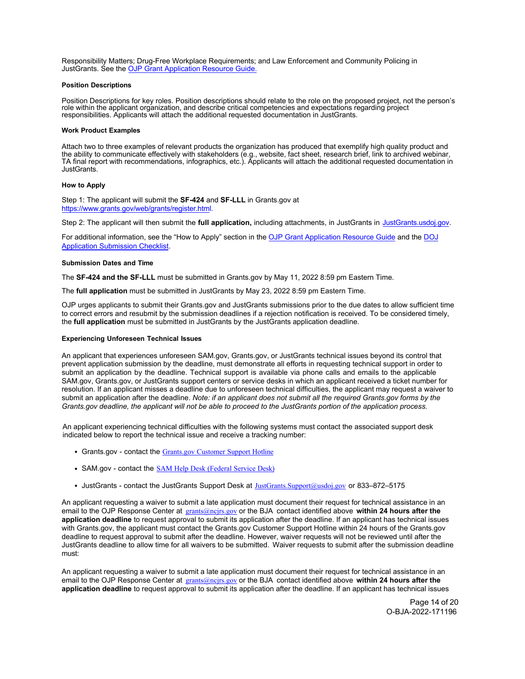Responsibility Matters; Drug-Free Workplace Requirements; and Law Enforcement and Community Policing in JustGrants. See th[e OJP Grant Application Resource Guide.](https://www.ojp.gov/funding/apply/ojp-grant-application-resource-guide#administrative)

#### <span id="page-13-0"></span>**Position Descriptions**

Position Descriptions for key roles. Position descriptions should relate to the role on the proposed project, not the person's role within the applicant organization, and describe critical competencies and expectations regarding project responsibilities. Applicants will attach the additional requested documentation in JustGrants.

## <span id="page-13-1"></span>**Work Product Examples**

Attach two to three examples of relevant products the organization has produced that exemplify high quality product and the ability to communicate effectively with stakeholders (e.g., website, fact sheet, research brief, link to archived webinar, TA final report with recommendations, infographics, etc.). Applicants will attach the additional requested documentation in JustGrants.

## <span id="page-13-2"></span>**How to Apply**

Step 1: The applicant will submit the **SF-424** and **SF-LLL** in Grants.gov at [https://www.grants.gov/web/grants/register.html.](https://www.grants.gov/web/grants/register.html)

Step 2: The applicant will then submit the **full application,** including attachments, in JustGrants in [JustGrants.usdoj.gov.](https://justicegrants.usdoj.gov/)

For additional information, see the "How to Apply" section in th[e OJP Grant Application Resource Guide](https://www.ojp.gov/funding/apply/ojp-grant-application-resource-guide#apply) and th[e DOJ](https://justicegrants.usdoj.gov/sites/g/files/xyckuh296/files/media/document/appln-submission-checklist.pdf) [Application Submission Checklist.](https://justicegrants.usdoj.gov/sites/g/files/xyckuh296/files/media/document/appln-submission-checklist.pdf)

# <span id="page-13-3"></span>**Submission Dates and Time**

The **SF-424 and the SF-LLL** must be submitted in Grants.gov by May 11, 2022 8:59 pm Eastern Time.

The **full application** must be submitted in JustGrants by May 23, 2022 8:59 pm Eastern Time.

OJP urges applicants to submit their Grants.gov and JustGrants submissions prior to the due dates to allow sufficient time to correct errors and resubmit by the submission deadlines if a rejection notification is received. To be considered timely, the **full application** must be submitted in JustGrants by the JustGrants application deadline.

## <span id="page-13-4"></span>**Experiencing Unforeseen Technical Issues**

An applicant that experiences unforeseen SAM.gov, Grants.gov, or JustGrants technical issues beyond its control that prevent application submission by the deadline, must demonstrate all efforts in requesting technical support in order to submit an application by the deadline. Technical support is available via phone calls and emails to the applicable SAM.gov, Grants.gov, or JustGrants support centers or service desks in which an applicant received a ticket number for resolution. If an applicant misses a deadline due to unforeseen technical difficulties, the applicant may request a waiver to submit an application after the deadline. *Note: if an applicant does not submit all the required Grants.gov forms by the Grants.gov deadline, the applicant will not be able to proceed to the JustGrants portion of the application process.* 

An applicant experiencing technical difficulties with the following systems must contact the associated support desk indicated below to report the technical issue and receive a tracking number:

- Grants.gov contact the [Grants.gov Customer Support Hotline](https://www.grants.gov/web/grants/support.html)
- SAM.gov contact the **SAM Help [Desk \(Federal Service Desk\)](https://www.fsd.gov/gsafsd_sp)**
- JustGrants contact the JustGrants Support Desk at JustGrants. Support@usdoj.gov or 833-872-5175

An applicant requesting a waiver to submit a late application must document their request for technical assistance in an email to the OJP Response Center at grants@ncjrs.gov or the BJA contact identified above within 24 hours after the **application deadline** to request approval to submit its application after the deadline. If an applicant has technical issues with Grants.gov, the applicant must contact the Grants.gov Customer Support Hotline within 24 hours of the Grants.gov deadline to request approval to submit after the deadline. However, waiver requests will not be reviewed until after the JustGrants deadline to allow time for all waivers to be submitted. Waiver requests to submit after the submission deadline must:

An applicant requesting a waiver to submit a late application must document their request for technical assistance in an email to the OJP Response Center at grants@ncjrs.gov or the BJA contact identified above **within 24 hours after the application deadline** to request approval to submit its application after the deadline. If an applicant has technical issues

> Page 14 of 20 O-BJA-2022-171196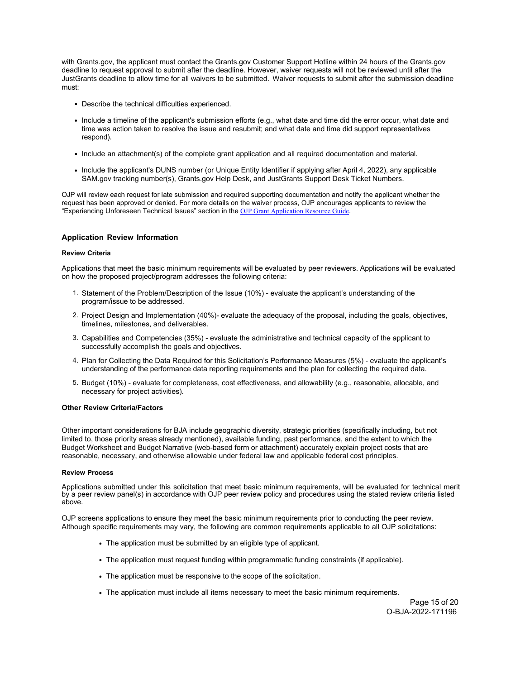with Grants.gov, the applicant must contact the Grants.gov Customer Support Hotline within 24 hours of the Grants.gov deadline to request approval to submit after the deadline. However, waiver requests will not be reviewed until after the JustGrants deadline to allow time for all waivers to be submitted. Waiver requests to submit after the submission deadline must:

- Describe the technical difficulties experienced.
- Include a timeline of the applicant's submission efforts (e.g., what date and time did the error occur, what date and time was action taken to resolve the issue and resubmit; and what date and time did support representatives respond).
- Include an attachment(s) of the complete grant application and all required documentation and material.
- Include the applicant's DUNS number (or Unique Entity Identifier if applying after April 4, 2022), any applicable SAM.gov tracking number(s), Grants.gov Help Desk, and JustGrants Support Desk Ticket Numbers.

OJP will review each request for late submission and required supporting documentation and notify the applicant whether the request has been approved or denied. For more details on the waiver process, OJP encourages applicants to review the "Experiencing Unforeseen Technical Issues" section in the [OJP Grant Application Resource Guide](https://www.ojp.gov/funding/apply/ojp-grant-application-resource-guide#experiencing-unforeseen-technical-issues)*.* 

# <span id="page-14-0"></span>**Application Review Information**

# <span id="page-14-1"></span>**Review Criteria**

Applications that meet the basic minimum requirements will be evaluated by peer reviewers. Applications will be evaluated on how the proposed project/program addresses the following criteria:

- 1. Statement of the Problem/Description of the Issue (10%) evaluate the applicant's understanding of the program/issue to be addressed.
- 2. Project Design and Implementation (40%)- evaluate the adequacy of the proposal, including the goals, objectives, timelines, milestones, and deliverables.
- 3. Capabilities and Competencies (35%) evaluate the administrative and technical capacity of the applicant to successfully accomplish the goals and objectives.
- 4. Plan for Collecting the Data Required for this Solicitation's Performance Measures (5%) evaluate the applicant's understanding of the performance data reporting requirements and the plan for collecting the required data.
- 5. Budget (10%) evaluate for completeness, cost effectiveness, and allowability (e.g., reasonable, allocable, and necessary for project activities).

# **Other Review Criteria/Factors**

Other important considerations for BJA include geographic diversity, strategic priorities (specifically including, but not limited to, those priority areas already mentioned), available funding, past performance, and the extent to which the Budget Worksheet and Budget Narrative (web-based form or attachment) accurately explain project costs that are reasonable, necessary, and otherwise allowable under federal law and applicable federal cost principles.

#### <span id="page-14-2"></span>**Review Process**

Applications submitted under this solicitation that meet basic minimum requirements, will be evaluated for technical merit by a peer review panel(s) in accordance with OJP peer review policy and procedures using the stated review criteria listed above.

OJP screens applications to ensure they meet the basic minimum requirements prior to conducting the peer review. Although specific requirements may vary, the following are common requirements applicable to all OJP solicitations:

- The application must be submitted by an eligible type of applicant.
- The application must request funding within programmatic funding constraints (if applicable).
- The application must be responsive to the scope of the solicitation.
- The application must include all items necessary to meet the basic minimum requirements.

Page 15 of 20 O-BJA-2022-171196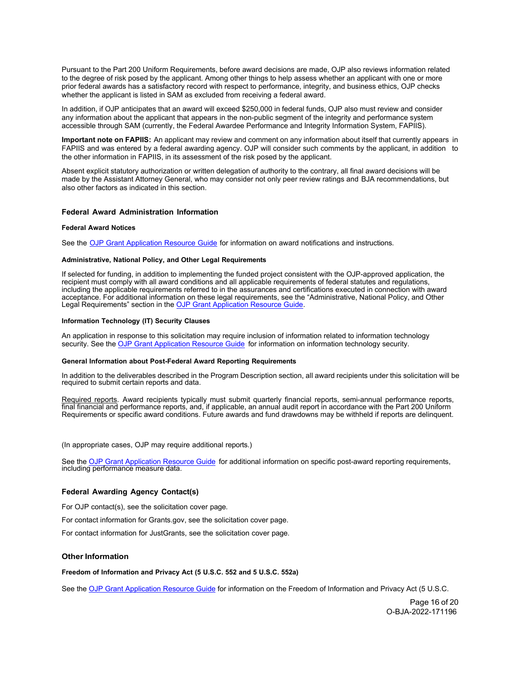Pursuant to the Part 200 Uniform Requirements, before award decisions are made, OJP also reviews information related to the degree of risk posed by the applicant. Among other things to help assess whether an applicant with one or more prior federal awards has a satisfactory record with respect to performance, integrity, and business ethics, OJP checks whether the applicant is listed in SAM as excluded from receiving a federal award.

In addition, if OJP anticipates that an award will exceed \$250,000 in federal funds, OJP also must review and consider any information about the applicant that appears in the non-public segment of the integrity and performance system accessible through SAM (currently, the Federal Awardee Performance and Integrity Information System, FAPIIS).

**Important note on FAPIIS:** An applicant may review and comment on any information about itself that currently appears in FAPIIS and was entered by a federal awarding agency. OJP will consider such comments by the applicant, in addition to the other information in FAPIIS, in its assessment of the risk posed by the applicant.

Absent explicit statutory authorization or written delegation of authority to the contrary, all final award decisions will be made by the Assistant Attorney General, who may consider not only peer review ratings and BJA recommendations, but also other factors as indicated in this section.

# <span id="page-15-0"></span>**Federal Award Administration Information**

#### <span id="page-15-1"></span>**Federal Award Notices**

See the [OJP Grant Application Resource Guide](https://www.ojp.gov/funding/apply/ojp-grant-application-resource-guide#federal-award-notices) for information on award notifications and instructions.

#### <span id="page-15-2"></span>**Administrative, National Policy, and Other Legal Requirements**

If selected for funding, in addition to implementing the funded project consistent with the OJP-approved application, the recipient must comply with all award conditions and all applicable requirements of federal statutes and regulations, including the applicable requirements referred to in the assurances and certifications executed in connection with award acceptance. For additional information on these legal requirements, see the "Administrative, National Policy, and Other Legal Requirements" section in the **OJP Grant Application Resource Guide**.

#### <span id="page-15-3"></span>**Information Technology (IT) Security Clauses**

An application in response to this solicitation may require inclusion of information related to information technology security. See th[e OJP Grant Application Resource Guide](https://www.ojp.gov/funding/apply/ojp-grant-application-resource-guide#information-technology) for information on information technology security.

#### <span id="page-15-4"></span>**General Information about Post-Federal Award Reporting Requirements**

In addition to the deliverables described in the Program Description section, all award recipients under this solicitation will be required to submit certain reports and data.

Required reports. Award recipients typically must submit quarterly financial reports, semi-annual performance reports, final financial and performance reports, and, if applicable, an annual audit report in accordance with the Part 200 Uniform Requirements or specific award conditions. Future awards and fund drawdowns may be withheld if reports are delinquent.

(In appropriate cases, OJP may require additional reports.)

See the OJP Grant Application Resource Guide [fo](https://www.ojp.gov/funding/apply/ojp-grant-application-resource-guide#general-information)r additional information on specific post-award reporting requirements, includin[g performance measure data.](https://www.ojp.gov/funding/apply/ojp-grant-application-resource-guide#general-information)

# <span id="page-15-5"></span>**Federal Awarding Agency Contact(s)**

For OJP contact(s), see the solicitation cover page.

For contact information for Grants.gov, see the solicitation cover page.

For contact information for JustGrants, see the solicitation cover page.

#### <span id="page-15-7"></span><span id="page-15-6"></span>**Other Information**

**Freedom of Information and Privacy Act (5 U.S.C. 552 and 5 U.S.C. 552a)**

See th[e OJP Grant Application Resource Guide](https://www.ojp.gov/funding/apply/ojp-grant-application-resource-guide#foia) for information on the Freedom of Information and Privacy Act (5 U.S.C.

Page 16 of 20 O-BJA-2022-171196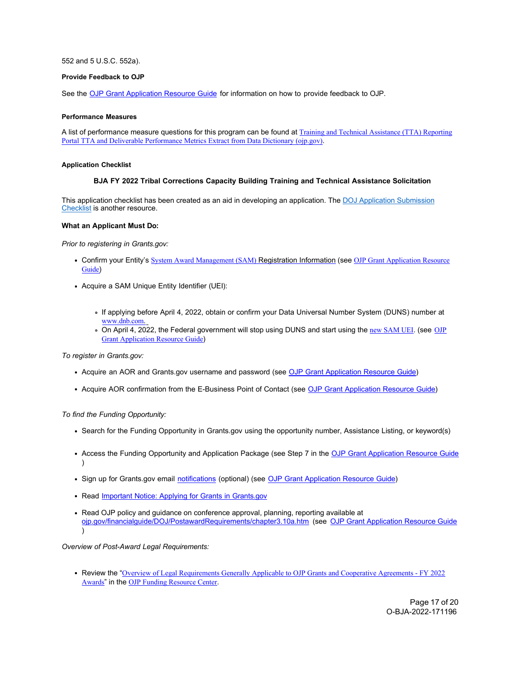## 552 and 5 U.S.C. 552a).

## <span id="page-16-0"></span>**Provide Feedback to OJP**

See the [OJP Grant Application Resource Guide](https://www.ojp.gov/funding/apply/ojp-grant-application-resource-guide#feedback) for information on how to provide feedback to OJP.

## <span id="page-16-1"></span>**Performance Measures**

A list of performance measure questions for this program can be found at [Training and Technical Assistance \(TTA\) Reporting](https://bja.ojp.gov/performance-measures/tta-deliverable-performance-metrics.pdf) [Portal TTA and Deliverable Performance Metrics Extract from Data Dictionary \(ojp.gov\)](https://bja.ojp.gov/performance-measures/tta-deliverable-performance-metrics.pdf).

## <span id="page-16-3"></span><span id="page-16-2"></span>**Application Checklist**

## **BJA FY 2022 Tribal Corrections Capacity Building Training and Technical Assistance Solicitation**

This application checklist has been created as an aid in developing an application. The [DOJ Application Submission](https://justicegrants.usdoj.gov/sites/g/files/xyckuh296/files/media/document/appln-submission-checklist.pdf) [Checklist is](https://justicegrants.usdoj.gov/sites/g/files/xyckuh296/files/media/document/appln-submission-checklist.pdf) another resource.

# **What an Applicant Must Do:**

*Prior to registering in Grants.gov:*

- Confirm your Entity's [System Award Management \(SAM\)](https://sam.gov/SAM/) Registration Information (see [OJP Grant Application Resource](https://www.ojp.gov/funding/apply/ojp-grant-application-resource-guide#apply) [Guide](https://www.ojp.gov/funding/apply/ojp-grant-application-resource-guide#apply))
- Acquire a SAM Unique Entity Identifier (UEI):
	- If applying before April 4, 2022, obtain or confirm your Data Universal Number System (DUNS) number at [www.dnb.com](http://www.dnb.com/).
	- o On April 4, 2022, the Federal government will stop using DUNS and start using the [new SAM UEI](https://justicegrants.usdoj.gov/resources/system-for-award-management#transition-to-unique-entity-id-sam). (see [OJP](https://www.ojp.gov/funding/apply/ojp-grant-application-resource-guide#apply) **[Grant Application Resource Guide](https://www.ojp.gov/funding/apply/ojp-grant-application-resource-guide#apply)**)

*To register in Grants.gov:*

- Acquire an AOR and Grants.gov username and password (see [OJP Grant Application Resource Guide\)](https://www.ojp.gov/funding/apply/ojp-grant-application-resource-guide#apply)
- Acquire AOR confirmation from the E-Business Point of Contact (see [OJP Grant Application Resource Guide\)](https://www.ojp.gov/funding/apply/ojp-grant-application-resource-guide#apply)

*To find the Funding Opportunity:*

- Search for the Funding Opportunity in Grants.gov using the opportunity number, Assistance Listing, or keyword(s)
- Access the Funding Opportunity and Application Package (see Step 7 in the [OJP Grant Application Resource Guide](https://www.ojp.gov/funding/apply/ojp-grant-application-resource-guide#apply)  $\lambda$
- Sign up for Grants.gov email [notifications \(](https://www.grants.gov/web/grants/manage-subscriptions.html)optional) (see [OJP Grant Application Resource Guide\)](https://www.ojp.gov/funding/apply/ojp-grant-application-resource-guide#apply)
- Read [Important Notice: Applying for](https://ojp.gov/funding/Apply/Grants-govInfo.htm) Grants in Grants.gov
- Read OJP policy and guidance on conference approval, planning, reporting available at [ojp.gov/financialguide/DOJ/PostawardRequirements/chapter3.10a.htm \(](https://ojp.gov/financialguide/DOJ/PostawardRequirements/chapter3.10a.htm)see [OJP Grant Application Resource Guide](https://www.ojp.gov/funding/apply/ojp-grant-application-resource-guide#prior-approval)  $\lambda$

*Overview of Post-Award Legal Requirements:*

Review the "[Overview of Legal Requirements Generally Applicable to OJP Grants and Cooperative Agreements - FY 2022](https://www.ojp.gov/funding/explore/legal-overview-awards) [Awards](https://www.ojp.gov/funding/explore/legal-overview-awards)" in the [OJP Funding Resource Center](https://www.ojp.gov/funding/index.htm).

> Page 17 of 20 O-BJA-2022-171196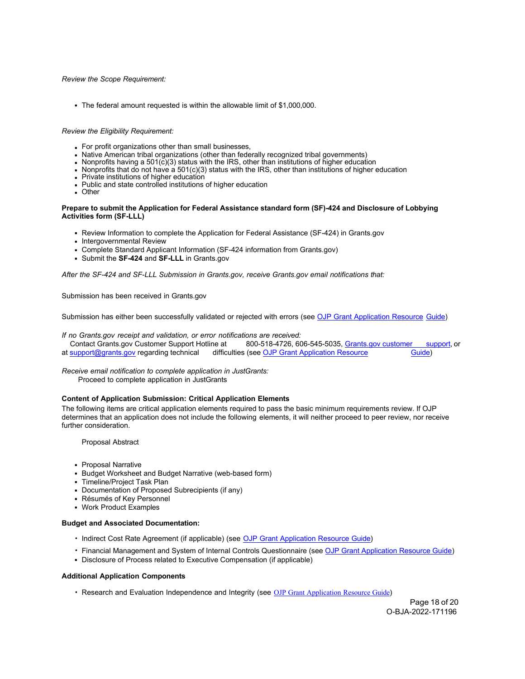# *Review the Scope Requirement:*

The federal amount requested is within the allowable limit of \$1,000,000.

## *Review the Eligibility Requirement:*

- For profit organizations other than small businesses,
- Native American tribal organizations (other than federally recognized tribal governments)
- Nonprofits having a 501 $(\tilde{c})(3)$  status with the IRS, other than institutions of higher education
- Nonprofits that do not have a  $501(c)(3)$  status with the IRS, other than institutions of higher education
- Private institutions of higher education
- Public and state controlled institutions of higher education
- Other

# **Prepare to submit the Application for Federal Assistance standard form (SF)-424 and Disclosure of Lobbying Activities form (SF-LLL)**

- Review Information to complete the Application for Federal Assistance (SF-424) in Grants.gov
- Intergovernmental Review
- Complete Standard Applicant Information (SF-424 information from Grants.gov)
- Submit the **SF-424** and **SF-LLL** in Grants.gov

*After the SF-424 and SF-LLL Submission in Grants.gov, receive Grants.gov email notifications that:*

Submission has been received in Grants.gov

Submission has either been successfully validated or rejected with errors (see [OJP Grant Application Resource Guide\)](https://www.ojp.gov/funding/apply/ojp-grant-application-resource-guide#apply)

*If no Grants.gov receipt and validation, or error notifications are received:*<br>Contact Grants.gov Customer Support Hotline at 800-518-4726, 60

800-518-4726, 606-545-5035[, Grants.gov customer support,](https://www.grants.gov/web/grants/support.html) or a[t support@grants.gov r](mailto:support@grants.gov)egarding technical difficulties (se[e OJP Grant Application Resource](https://www.ojp.gov/funding/apply/ojp-grant-application-resource-guide#apply) [Guide\)](https://www.ojp.gov/funding/apply/ojp-grant-application-resource-guide#apply)

*Receive email notification to complete application in JustGrants:* Proceed to complete application in JustGrants

# **Content of Application Submission: Critical Application Elements**

The following items are critical application elements required to pass the basic minimum requirements review. If OJP determines that an application does not include the following elements, it will neither proceed to peer review, nor receive further consideration.

Proposal Abstract

- Proposal Narrative
- Budget Worksheet and Budget Narrative (web-based form)
- Timeline/Project Task Plan
- Documentation of Proposed Subrecipients (if any)
- Résumés of Key Personnel
- Work Product Examples

# **Budget and Associated Documentation:**

- Indirect Cost Rate Agreement (if applicable) (see [OJP Grant Application Resource Guide\)](https://www.ojp.gov/funding/apply/ojp-grant-application-resource-guide#indirect-cost)
- Financial Management and System of Internal Controls Questionnaire (see [OJP Grant Application Resource Guide\)](https://www.ojp.gov/funding/apply/ojp-grant-application-resource-guide#fm-internal-controls-questionnaire)
- Disclosure of Process related to Executive Compensation (if applicable)

# **Additional Application Components**

• Research and Evaluation Independence and Integrity (see [OJP Grant Application Resource Guide](https://www.ojp.gov/funding/apply/ojp-grant-application-resource-guide#research-evaluation))